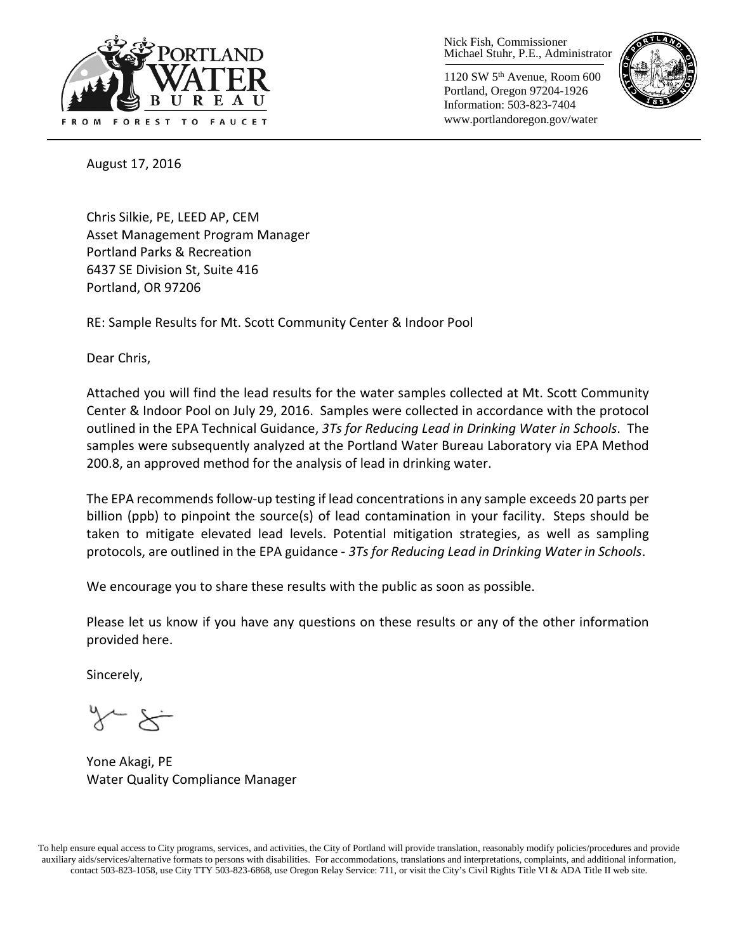

Nick Fish, Commissioner Michael Stuhr, P.E., Administrator

1120 SW 5th Avenue, Room 600 Portland, Oregon 97204-1926 Information: 503-823-7404 www.portlandoregon.gov/water



August 17, 2016

Chris Silkie, PE, LEED AP, CEM Asset Management Program Manager Portland Parks & Recreation 6437 SE Division St, Suite 416 Portland, OR 97206

RE: Sample Results for Mt. Scott Community Center & Indoor Pool

Dear Chris,

Attached you will find the lead results for the water samples collected at Mt. Scott Community Center & Indoor Pool on July 29, 2016. Samples were collected in accordance with the protocol outlined in the EPA Technical Guidance, *3Ts for Reducing Lead in Drinking Water in Schools*. The samples were subsequently analyzed at the Portland Water Bureau Laboratory via EPA Method 200.8, an approved method for the analysis of lead in drinking water.

The EPA recommends follow-up testing if lead concentrations in any sample exceeds 20 parts per billion (ppb) to pinpoint the source(s) of lead contamination in your facility. Steps should be taken to mitigate elevated lead levels. Potential mitigation strategies, as well as sampling protocols, are outlined in the EPA guidance - *3Ts for Reducing Lead in Drinking Water in Schools*.

We encourage you to share these results with the public as soon as possible.

Please let us know if you have any questions on these results or any of the other information provided here.

Sincerely,

Yone Akagi, PE Water Quality Compliance Manager

To help ensure equal access to City programs, services, and activities, the City of Portland will provide translation, reasonably modify policies/procedures and provide auxiliary aids/services/alternative formats to persons with disabilities. For accommodations, translations and interpretations, complaints, and additional information, contact 503-823-1058, use City TTY 503-823-6868, use Oregon Relay Service: 711, or visi[t the City's Civil Rights Title VI & ADA Title II web site.](http://www.portlandoregon.gov/oehr/66458)